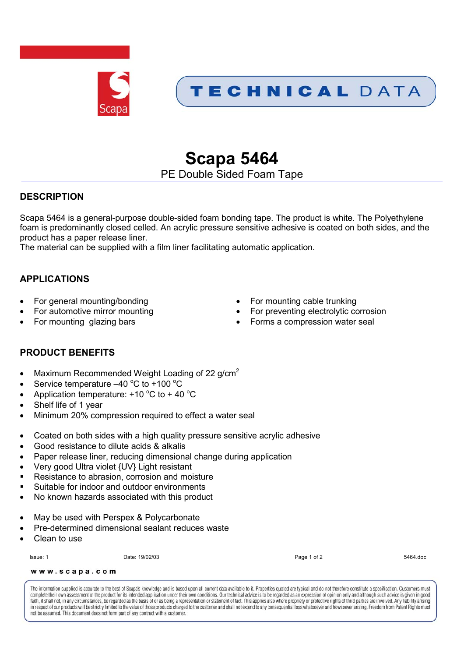

## TECHNICAL DATA

# **Scapa 5464**

PE Double Sided Foam Tape

## **DESCRIPTION**

Scapa 5464 is a general-purpose double-sided foam bonding tape. The product is white. The Polyethylene foam is predominantly closed celled. An acrylic pressure sensitive adhesive is coated on both sides, and the product has a paper release liner.

The material can be supplied with a film liner facilitating automatic application.

## **APPLICATIONS**

- 
- 
- 
- For general mounting/bonding example of the Formounting cable trunking
- For automotive mirror mounting **Formulate 10** For preventing electrolytic corrosion
- For mounting glazing bars **Forms** a compression water seal

## **PRODUCT BENEFITS**

- Maximum Recommended Weight Loading of 22 g/cm<sup>2</sup>
- Service temperature  $-40^{\circ}$ C to +100 °C
- Application temperature:  $+10$  °C to  $+40$  °C
- Shelf life of 1 year
- Minimum 20% compression required to effect a water seal
- Coated on both sides with a high quality pressure sensitive acrylic adhesive
- Good resistance to dilute acids & alkalis
- Paper release liner, reducing dimensional change during application
- Very good Ultra violet {UV} Light resistant
- Resistance to abrasion, corrosion and moisture
- Suitable for indoor and outdoor environments
- No known hazards associated with this product
- May be used with Perspex & Polycarbonate
- Pre-determined dimensional sealant reduces waste
- Clean to use

Issue: 1 Date: 19/02/03 Page 1 of 2 5464.doc

www.scapa.com

The information supplied is accurate to the best of Scapa's knowledge and is based upon all current data available to it. Properties quoted are typical and do not therefore constitute a specification. Customers must complete their own assessment of the product for its intended application under their own conditions. Our technical advice is to be regarded as an expression of opinion only and although such advice is given in good faith, it shall not, in any circumstances, be regarded as the basis of or as being a representation or statement of fact. This applies also where propriety or protective rights of third parties are involved. Any liability in respect of our products will be strictly limited to the value of those products charged to the customer and shall not extend to any consequential loss whatsoever and how soever arising. Freedom from Patent Rights must not be assumed. This document does not form part of any contract with a customer.